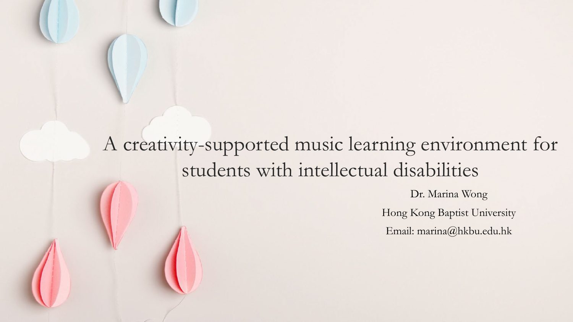#### A creativity-supported music learning environment for students with intellectual disabilities

Dr. Marina Wong Hong Kong Baptist University

Email: marina@hkbu.edu.hk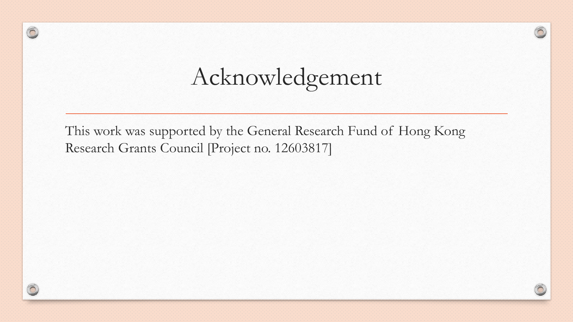# Acknowledgement

This work was supported by the General Research Fund of Hong Kong Research Grants Council [Project no. 12603817]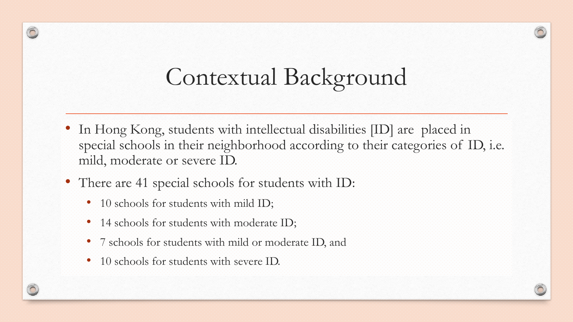# Contextual Background

- In Hong Kong, students with intellectual disabilities [ID] are placed in special schools in their neighborhood according to their categories of ID, i.e. mild, moderate or severe ID.
- There are 41 special schools for students with ID:
	- 10 schools for students with mild ID;
	- 14 schools for students with moderate ID;
	- 7 schools for students with mild or moderate ID, and
	- 10 schools for students with severe ID.

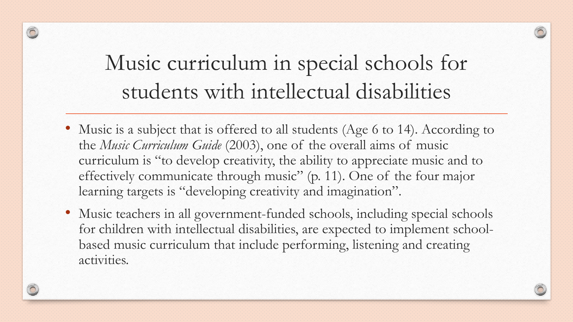#### Music curriculum in special schools for students with intellectual disabilities

 $\bigcirc$ 

- Music is a subject that is offered to all students (Age 6 to 14). According to the *Music Curriculum Guide* (2003), one of the overall aims of music curriculum is "to develop creativity, the ability to appreciate music and to effectively communicate through music" (p. 11). One of the four major learning targets is "developing creativity and imagination".
- Music teachers in all government-funded schools, including special schools for children with intellectual disabilities, are expected to implement schoolbased music curriculum that include performing, listening and creating activities.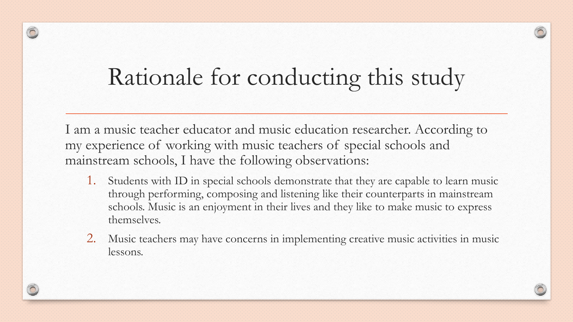# Rationale for conducting this study

∩

I am a music teacher educator and music education researcher. According to my experience of working with music teachers of special schools and mainstream schools, I have the following observations:

- 1. Students with ID in special schools demonstrate that they are capable to learn music through performing, composing and listening like their counterparts in mainstream schools. Music is an enjoyment in their lives and they like to make music to express themselves.
- 2. Music teachers may have concerns in implementing creative music activities in music lessons.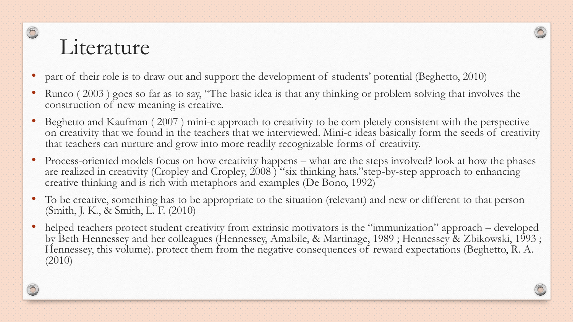#### Literature

- part of their role is to draw out and support the development of students' potential (Beghetto, 2010)
- Runco (2003) goes so far as to say, "The basic idea is that any thinking or problem solving that involves the construction of new meaning is creative.
- Beghetto and Kaufman (2007) mini-c approach to creativity to be com pletely consistent with the perspective on creativity that we found in the teachers that we interviewed. Mini-c ideas basically form the seeds of creativity that teachers can nurture and grow into more readily recognizable forms of creativity.
- Process-oriented models focus on how creativity happens what are the steps involved? look at how the phases are realized in creativity (Cropley and Cropley, 2008) "six thinking hats." step-by-step approach to enhancing creative thinking and is rich with metaphors and examples (De Bono, 1992)
- To be creative, something has to be appropriate to the situation (relevant) and new or different to that person (Smith, J. K., & Smith, L. F. (2010)
- helped teachers protect student creativity from extrinsic motivators is the "immunization" approach developed by Beth Hennessey and her colleagues (Hennessey, Amabile, & Martinage, 1989 ; Hennessey & Zbikowski, 1993 ; Hennessey, this volume). protect them from the negative consequences of reward expectations (Beghetto, R. A. (2010)

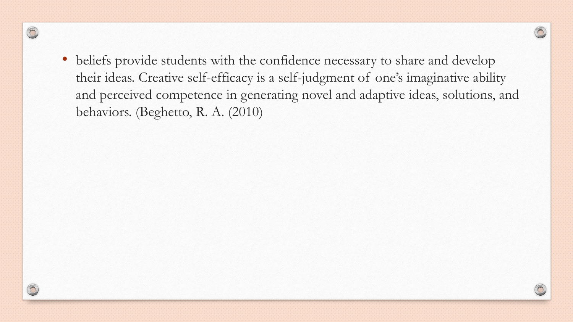• beliefs provide students with the confidence necessary to share and develop their ideas. Creative self-efficacy is a self-judgment of one's imaginative ability and perceived competence in generating novel and adaptive ideas, solutions, and behaviors. (Beghetto, R. A. (2010)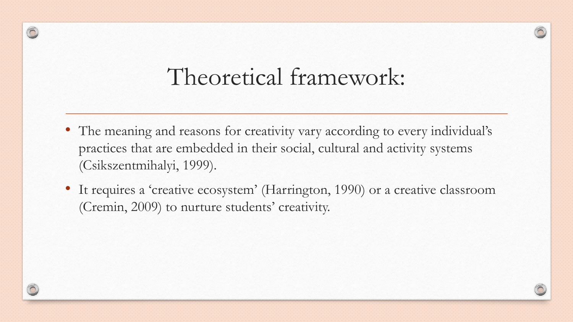#### Theoretical framework:

- The meaning and reasons for creativity vary according to every individual's practices that are embedded in their social, cultural and activity systems (Csikszentmihalyi, 1999).
- It requires a 'creative ecosystem' (Harrington, 1990) or a creative classroom (Cremin, 2009) to nurture students' creativity.



0

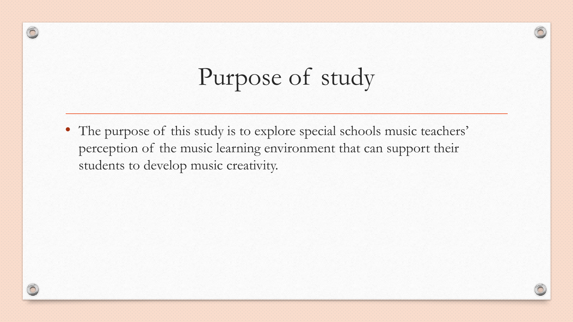# Purpose of study

• The purpose of this study is to explore special schools music teachers' perception of the music learning environment that can support their students to develop music creativity.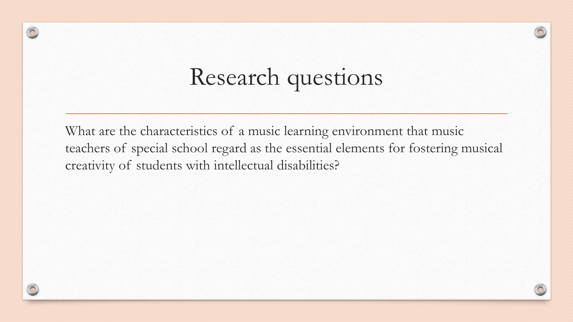# Research questions

 $\circledcirc$ 

What are the characteristics of a music learning environment that music teachers of special school regard as the essential elements for fostering musical creativity of students with intellectual disabilities?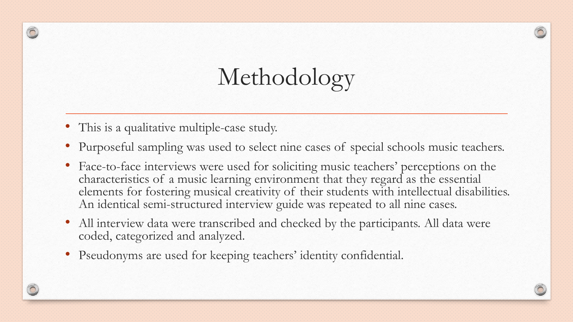# Methodology

• This is a qualitative multiple-case study.

 $\bigcirc$ 

- Purposeful sampling was used to select nine cases of special schools music teachers.
- Face-to-face interviews were used for soliciting music teachers' perceptions on the characteristics of a music learning environment that they regard as the essential elements for fostering musical creativity of their students with intellectual disabilities. An identical semi-structured interview guide was repeated to all nine cases.
- All interview data were transcribed and checked by the participants. All data were coded, categorized and analyzed.
- Pseudonyms are used for keeping teachers' identity confidential.

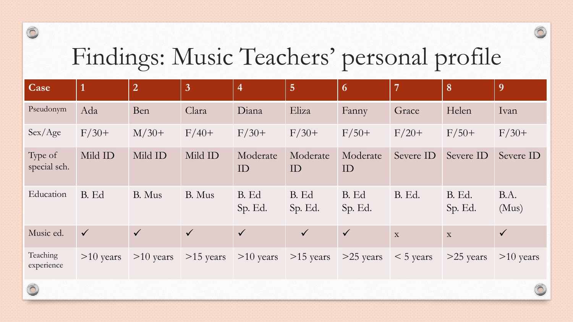## Findings: Music Teachers' personal profile

| Case                    | $\overline{1}$ | $\overline{2}$ | $\overline{3}$ | $\overline{4}$   | $\overline{5}$   | 6                | $\overline{7}$ | 8                 | 9             |
|-------------------------|----------------|----------------|----------------|------------------|------------------|------------------|----------------|-------------------|---------------|
| Pseudonym               | Ada            | Ben            | Clara          | Diana            | Eliza            | Fanny            | Grace          | Helen             | Ivan          |
| Sex / Age               | $F/30+$        | $M/30+$        | $F/40+$        | $F/30+$          | $F/30+$          | $F/50+$          | $F/20+$        | $F/50+$           | $F/30+$       |
| Type of<br>special sch. | Mild ID        | Mild ID        | Mild ID        | Moderate<br>ID   | Moderate<br>ID   | Moderate<br>ID   | Severe ID      | Severe ID         | Severe ID     |
| Education               | B. Ed          | B. Mus         | B. Mus         | B. Ed<br>Sp. Ed. | B. Ed<br>Sp. Ed. | B. Ed<br>Sp. Ed. | <b>B.</b> Ed.  | B. Ed.<br>Sp. Ed. | B.A.<br>(Mus) |
| Music ed.               | $\checkmark$   | $\checkmark$   | $\checkmark$   | $\checkmark$     | $\checkmark$     | $\checkmark$     | X              | $\mathbf X$       | $\checkmark$  |
| Teaching<br>experience  | $>10$ years    | $>10$ years    | $>15$ years    | $>10$ years      | $>15$ years      | $>25$ years      | $<$ 5 years    | $>25$ years       | $>10$ years   |

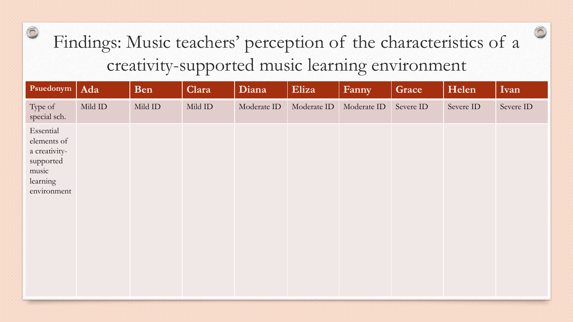#### Findings: Music teachers' perception of the characteristics of a creativity-supported music learning environment

| Psuedonym                                                                                  | Ada     | Ben     | Clara   | Diana       | Eliza       | Fanny       | Grace     | Helen     | Ivan      |
|--------------------------------------------------------------------------------------------|---------|---------|---------|-------------|-------------|-------------|-----------|-----------|-----------|
| Type of<br>special sch.                                                                    | Mild ID | Mild ID | Mild ID | Moderate ID | Moderate ID | Moderate ID | Severe ID | Severe ID | Severe ID |
| Essential<br>elements of<br>a creativity-<br>supported<br>music<br>learning<br>environment |         |         |         |             |             |             |           |           |           |